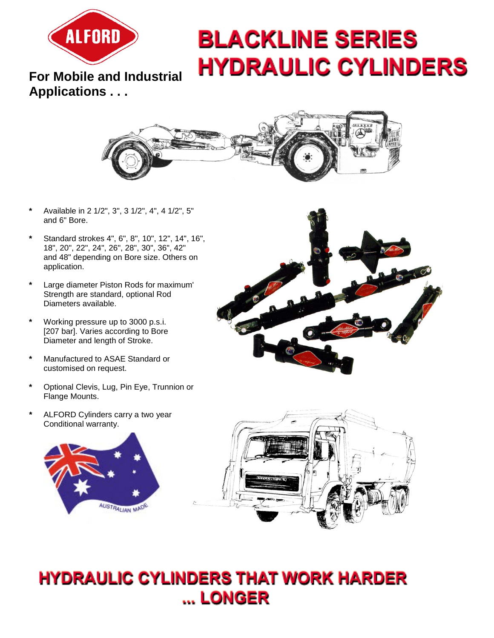

# **BLACKLINE SERIES HYDRAULIC CYLINDERS**

**For Mobile and Industrial Applications . . .**



- **\*** Available in 2 1/2", 3", 3 1/2", 4", 4 1/2", 5" and 6" Bore.
- **\*** Standard strokes 4", 6", 8", 10", 12", 14", 16", 18", 20", 22", 24", 26", 28", 30", 36", 42" and 48" depending on Bore size. Others on application.
- **\*** Large diameter Piston Rods for maximum' Strength are standard, optional Rod Diameters available.
- **\*** Working pressure up to 3000 p.s.i. [207 bar]. Varies according to Bore Diameter and length of Stroke.
- **\*** Manufactured to ASAE Standard or customised on request.
- **\*** Optional Clevis, Lug, Pin Eye, Trunnion or Flange Mounts.
- **\*** ALFORD Cylinders carry a two year Conditional warranty.







## **HYDRAULIC CYLINDERS THAT WORK HARDER** ... LONGER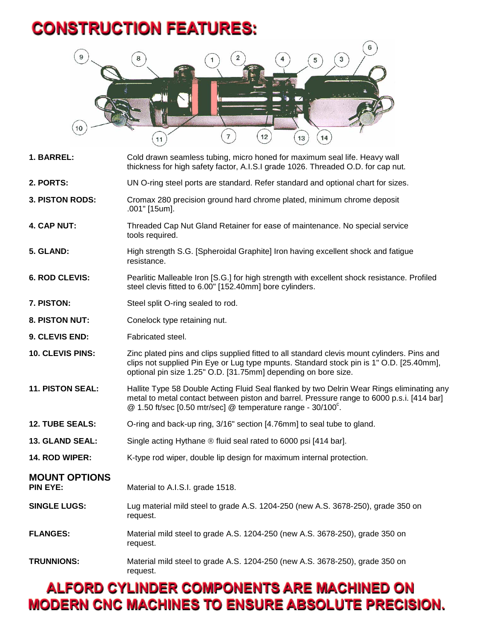#### **CONSTRUCTION FEATURES:**



| 1. BARREL:                       | Cold drawn seamless tubing, micro honed for maximum seal life. Heavy wall<br>thickness for high safety factor, A.I.S.I grade 1026. Threaded O.D. for cap nut.                                                                                                        |
|----------------------------------|----------------------------------------------------------------------------------------------------------------------------------------------------------------------------------------------------------------------------------------------------------------------|
| 2. PORTS:                        | UN O-ring steel ports are standard. Refer standard and optional chart for sizes.                                                                                                                                                                                     |
| <b>3. PISTON RODS:</b>           | Cromax 280 precision ground hard chrome plated, minimum chrome deposit<br>.001" [15um].                                                                                                                                                                              |
| 4. CAP NUT:                      | Threaded Cap Nut Gland Retainer for ease of maintenance. No special service<br>tools required.                                                                                                                                                                       |
| 5. GLAND:                        | High strength S.G. [Spheroidal Graphite] Iron having excellent shock and fatigue<br>resistance.                                                                                                                                                                      |
| 6. ROD CLEVIS:                   | Pearlitic Malleable Iron [S.G.] for high strength with excellent shock resistance. Profiled<br>steel clevis fitted to 6.00" [152.40mm] bore cylinders.                                                                                                               |
| 7. PISTON:                       | Steel split O-ring sealed to rod.                                                                                                                                                                                                                                    |
| 8. PISTON NUT:                   | Conelock type retaining nut.                                                                                                                                                                                                                                         |
| 9. CLEVIS END:                   | Fabricated steel.                                                                                                                                                                                                                                                    |
| 10. CLEVIS PINS:                 | Zinc plated pins and clips supplied fitted to all standard clevis mount cylinders. Pins and<br>clips not supplied Pin Eye or Lug type mpunts. Standard stock pin is 1" O.D. [25.40mm],<br>optional pin size 1.25" O.D. [31.75mm] depending on bore size.             |
| 11. PISTON SEAL:                 | Hallite Type 58 Double Acting Fluid Seal flanked by two Delrin Wear Rings eliminating any<br>metal to metal contact between piston and barrel. Pressure range to 6000 p.s.i. [414 bar]<br>$@$ 1.50 ft/sec [0.50 mtr/sec] $@$ temperature range - 30/100 $^{\circ}$ . |
| <b>12. TUBE SEALS:</b>           | O-ring and back-up ring, 3/16" section [4.76mm] to seal tube to gland.                                                                                                                                                                                               |
| 13. GLAND SEAL:                  | Single acting Hythane ® fluid seal rated to 6000 psi [414 bar].                                                                                                                                                                                                      |
| 14. ROD WIPER:                   | K-type rod wiper, double lip design for maximum internal protection.                                                                                                                                                                                                 |
| <b>MOUNT OPTIONS</b><br>PIN EYE: | Material to A.I.S.I. grade 1518.                                                                                                                                                                                                                                     |
| <b>SINGLE LUGS:</b>              | Lug material mild steel to grade A.S. 1204-250 (new A.S. 3678-250), grade 350 on<br>request.                                                                                                                                                                         |
| <b>FLANGES:</b>                  | Material mild steel to grade A.S. 1204-250 (new A.S. 3678-250), grade 350 on<br>request.                                                                                                                                                                             |
| <b>TRUNNIONS:</b>                | Material mild steel to grade A.S. 1204-250 (new A.S. 3678-250), grade 350 on<br>request.                                                                                                                                                                             |

#### **ALFORD CYLINDER COMPONENTS ARE MACHINED ON MODERN CNC MACHINES TO ENSURE ABSOLUTE PRECISION.**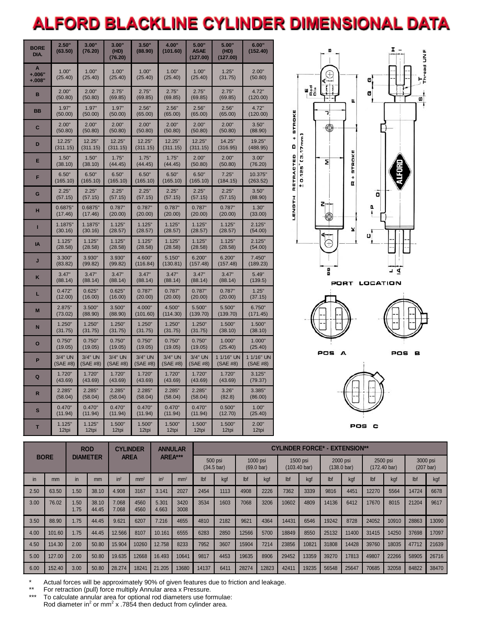### **ALFORD BLACKLINE CYLINDER DIMENSIONAL DATA**

| <b>BORE</b><br>DIA.       | 2.50"<br>(63.50) | 3.00"<br>(76.20) | 3.00"<br>(HD)<br>(76.20) | 3.50"<br>(88.90) | 4.00"<br>(101.60) | 5.00"<br><b>ASAE</b><br>(127.00) | 5.00"<br>(HD)<br>(127.00) | 6.00"<br>(152.40) |
|---------------------------|------------------|------------------|--------------------------|------------------|-------------------|----------------------------------|---------------------------|-------------------|
| A<br>$+.006"$<br>$+.008"$ | 1.00"<br>(25.40) | 1.00"<br>(25.40) | 1.00"<br>(25.40)         | 1.00"<br>(25.40) | 1.00"<br>(25.40)  | 1.00"<br>(25.40)                 | 1.25"<br>(31.75)          | 2.00"<br>(50.80)  |
| в                         | 2.00"            | 2.00"            | 2.75"                    | 2.75"            | 2.75"             | 2.75"                            | 2.75"                     | 4.72"             |
|                           | (50.80)          | (50.80)          | (69.85)                  | (69.85)          | (69.85)           | (69.85)                          | (69.85)                   | (120.00)          |
| <b>BB</b>                 | 1.97"            | 1.97"            | 1.97"                    | 2.56"            | 2.56"             | 2.56"                            | 2.56"                     | 4.72"             |
|                           | (50.00)          | (50.00)          | (50.00)                  | (65.00)          | (65.00)           | (65.00)                          | (65.00)                   | (120.00)          |
| C                         | 2.00"            | 2.00"            | 2.00"                    | 2.00"            | 2.00"             | 2.00"                            | 2.00"                     | 3.50"             |
|                           | (50.80)          | (50.80)          | (50.80)                  | (50.80)          | (50.80)           | (50.80)                          | (50.80)                   | (88.90)           |
| D                         | 12.25"           | 12.25"           | 12.25"                   | 12.25"           | 12.25"            | 12.25"                           | 14.25"                    | 19.25"            |
|                           | (311.15)         | (311.15)         | (311.15)                 | (311.15)         | (311.15)          | (311.15)                         | (316.95)                  | (488.95)          |
| E                         | 1.50"            | 1.50"            | 1.75"                    | 1.75"            | 1.75"             | 2.00"                            | 2.00"                     | 3.00"             |
|                           | (38.10)          | (38.10)          | (44.45)                  | (44.45)          | (44.45)           | (50.80)                          | (50.80)                   | (76.20)           |
| F                         | 6.50"            | 6.50"            | 6.50"                    | 6.50"            | 6.50"             | 6.50"                            | 7.25"                     | 10.375"           |
|                           | (165.10)         | (165.10)         | (165.10)                 | (165.10)         | (165.10)          | (165.10)                         | (184.15)                  | (263.52)          |
| G                         | 2.25"            | 2.25"            | 2.25"                    | 2.25"            | 2.25"             | 2.25"                            | 2.25"                     | 3.50"             |
|                           | (57.15)          | (57.15)          | (57.15)                  | (57.15)          | (57.15)           | (57.15)                          | (57.15)                   | (88.90)           |
| н                         | 0.6875"          | 0.6875"          | 0.787"                   | 0.787"           | 0.787"            | 0.787"                           | 0.787"                    | 1.30"             |
|                           | (17.46)          | (17.46)          | (20.00)                  | (20.00)          | (20.00)           | (20.00)                          | (20.00)                   | (33.00)           |
| П                         | 1.1875"          | 1.1875"          | 1.125"                   | 1.125"           | 1.125"            | 1.125"                           | 1.125"                    | 2.125"            |
|                           | (30.16)          | (30.16)          | (28.57)                  | (28.57)          | (28.57)           | (28.57)                          | (28.57)                   | (54.00)           |
| IA                        | 1.125"           | 1.125"           | 1.125"                   | 1.125"           | 1.125"            | 1.125"                           | 1.125"                    | 2.125"            |
|                           | (28.58)          | (28.58)          | (28.58)                  | (28.58)          | (28.58)           | (28.58)                          | (28.58)                   | (54.00)           |
| J                         | 3.300"           | 3.930"           | 3.930"                   | 4.600"           | 5.150"            | 6.200"                           | 6.200"                    | 7.450"            |
|                           | (83.82)          | (99.82)          | (99.82)                  | (116.84)         | (130.81)          | (157.48)                         | (157.48)                  | (189.23)          |
| K                         | 3.47"            | 3.47"            | 3.47"                    | 3.47"            | 3.47"             | 3.47"                            | 3.47"                     | 5.49"             |
|                           | (88.14)          | (88.14)          | (88.14)                  | (88.14)          | (88.14)           | (88.14)                          | (88.14)                   | (139.5)           |
| L                         | 0.472"           | 0.625"           | 0.625"                   | 0.787"           | 0.787"            | 0.787"                           | 0.787"                    | 1.25"             |
|                           | (12.00)          | (16.00)          | (16.00)                  | (20.00)          | (20.00)           | (20.00)                          | (20.00)                   | (37.15)           |
| M                         | 2.875"           | 3.500"           | 3.500"                   | 4.000"           | 4.500"            | 5.500"                           | 5.500"                    | 6.750"            |
|                           | (73.02)          | (88.90)          | (88.90)                  | (101.60)         | (114.30)          | (139.70)                         | (139.70)                  | (171.45)          |
| N                         | 1.250"           | 1.250"           | 1.250"                   | 1.250"           | 1.250"            | 1.250"                           | 1.500"                    | 1.500"            |
|                           | (31.75)          | (31.75)          | (31.75)                  | (31.75)          | (31.75)           | (31.75)                          | (38.10)                   | (38.10)           |
| O                         | 0.750"           | 0.750"           | 0.750"                   | 0.750"           | 0.750"            | 0.750"                           | 1.000"                    | 1.000"            |
|                           | (19.05)          | (19.05)          | (19.05)                  | (19.05)          | (19.05)           | (19.05)                          | (25.40)                   | (25.40)           |
| P                         | $3/4"$ UN        | 3/4" UN          | 3/4" UN                  | 3/4" UN          | 3/4" UN           | 3/4" UN                          | 1 1/16" UN                | 1 1/16" UN        |
|                           | (SAE #8)         | (SAE #8)         | (SAE #8)                 | (SAE #8)         | (SAE #8)          | (SAE #8)                         | (SAE #8)                  | (SAE #8)          |
| Q                         | 1.720"           | 1.720"           | 1.720"                   | 1.720"           | 1.720"            | 1.720"                           | 1.720"                    | 3.125"            |
|                           | (43.69)          | (43.69)          | (43.69)                  | (43.69)          | (43.69)           | (43.69)                          | (43.69)                   | (79.37)           |
| R                         | 2.285"           | 2.285"           | 2.285"                   | 2.285"           | 2.285"            | 2.285"                           | 3.26"                     | 3.385"            |
|                           | (58.04)          | (58.04)          | (58.04)                  | (58.04)          | (58.04)           | (58.04)                          | (82.8)                    | (86.00)           |
| S                         | 0.470"           | 0.470"           | 0.470"                   | 0.470"           | 0.470"            | 0.470"                           | 0.500"                    | 1.00"             |
|                           | (11.94)          | (11.94)          | (11.94)                  | (11.94)          | (11.94)           | (11.94)                          | (12.70)                   | (25.40)           |
| T                         | 1.125"           | 1.125"           | 1.500"                   | 1.500"           | 1.500"            | 1.500"                           | 1.500"                    | 2.00"             |
|                           | 12tpi            | 12tpi            | 12tpi                    | 12tpi            | 12tpi             | 12tpi                            | 12tpi                     | 12tpi             |







|      |             | <b>ROD</b>   |                | <b>DIAMETER</b> |                 |                 |                                                                                |       |      |                          |       |       |                                    | <b>CYLINDER</b> |                                                                        | <b>ANNULAR</b> |       | <b>CYLINDER FORCE* - EXTENSION**</b> |       |  |  |  |  |  |  |  |  |
|------|-------------|--------------|----------------|-----------------|-----------------|-----------------|--------------------------------------------------------------------------------|-------|------|--------------------------|-------|-------|------------------------------------|-----------------|------------------------------------------------------------------------|----------------|-------|--------------------------------------|-------|--|--|--|--|--|--|--|--|
|      | <b>BORE</b> |              |                | <b>AREA</b>     |                 |                 | AREA***<br>500 psi<br>1000 psi<br>$(34.5 \text{ bar})$<br>$(69.0 \text{ bar})$ |       |      | 1500 psi<br>(103.40 bar) |       |       | 2000 psi<br>$(138.0 \,\text{bar})$ |                 | 2500 psi<br>3000 psi<br>$(172.40 \,\text{bar})$<br>$(207 \text{ bar})$ |                |       |                                      |       |  |  |  |  |  |  |  |  |
| in   | mm          | in           | mm             | in <sup>2</sup> | mm <sup>2</sup> | in <sup>2</sup> | mm <sup>2</sup>                                                                | lbf   | kgf  | lbf                      | kgf   | lbf   | kgf                                | Ibf             | kgf                                                                    | lbf            | kaf   | lbf                                  | kgf   |  |  |  |  |  |  |  |  |
| 2.50 | 63.50       | 1.50         | 38.10          | 4.908           | 3167            | 3.141           | 2027                                                                           | 2454  | 1113 | 4908                     | 2226  | 7362  | 3339                               | 9816            | 4451                                                                   | 12270          | 5564  | 14724                                | 6678  |  |  |  |  |  |  |  |  |
| 3.00 | 76.02       | 1.50<br>1.75 | 38.10<br>44.45 | 7.068<br>7.068  | 4560<br>4560    | 5.301<br>4.663  | 3420<br>3008                                                                   | 3534  | 1603 | 7068                     | 3206  | 10602 | 4809                               | 14136           | 6412                                                                   | 17670          | 8015  | 21204                                | 9617  |  |  |  |  |  |  |  |  |
| 3.50 | 88.90       | 1.75         | 44.45          | 9.621           | 6207            | 7.216           | 4655                                                                           | 4810  | 2182 | 9621                     | 4364  | 14431 | 6546                               | 19242           | 8728                                                                   | 24052          | 10910 | 28863                                | 13090 |  |  |  |  |  |  |  |  |
| 4.00 | 101.60      | 1.75         | 44.45          | 12.566          | 8107            | 10.161          | 6555                                                                           | 6283  | 2850 | 12566                    | 5700  | 18849 | 8550                               | 25132           | 11400                                                                  | 31415          | 14250 | 37698                                | 17097 |  |  |  |  |  |  |  |  |
| 4.50 | 114.30      | 2.00         | 50.80          | 15.904          | 10260           | 12.758          | 8233                                                                           | 7952  | 3607 | 15904                    | 7214  | 23856 | 10821                              | 31808           | 14428                                                                  | 39760          | 18035 | 47712                                | 21639 |  |  |  |  |  |  |  |  |
| 5.00 | 127.00      | 2.00         | 50.80          | 19.635          | 12668           | 16.493          | 10641                                                                          | 9817  | 4453 | 19635                    | 8906  | 29452 | 13359                              | 39270           | 17813                                                                  | 49807          | 22266 | 58905                                | 26716 |  |  |  |  |  |  |  |  |
| 6.00 | 152.40      | 3.00         | 50.80          | 28.274          | 18241           | 21.205          | 13680                                                                          | 14137 | 6411 | 28274                    | 12823 | 42411 | 19235                              | 56548           | 25647                                                                  | 70685          | 32058 | 84822                                | 38470 |  |  |  |  |  |  |  |  |

\* Actual forces will be approximately 90% of given features due to friction and leakage.<br>\*\* For retraction (pull) force multiply Appular area x Procesure

\*\* For retraction (pull) force multiply Annular area x Pressure.

\*\*\* To calculate annular area for optional rod diameters use formulae: Rod diameter in<sup>2</sup> or mm<sup>2</sup> x .7854 then deduct from cylinder area.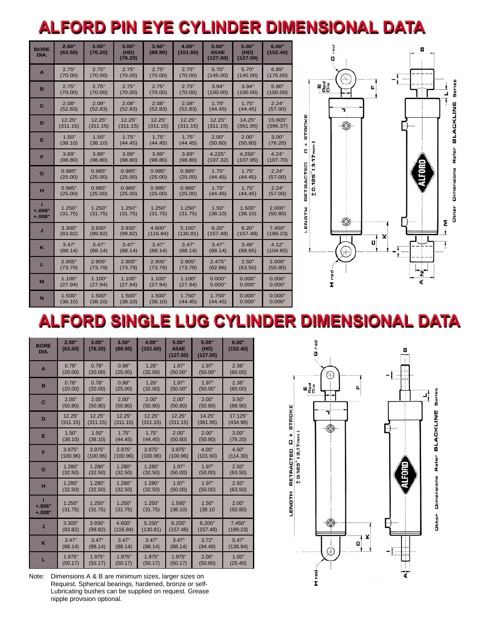## ALFORD PIN EYE CYLINDER DIMENSIONAL DATA

| <b>BORE</b><br>DIA.     | 2.50"<br>(63.50) | 3.00"<br>(76.20) | 3.00"<br>(HD)<br>(76.20) | 3.50"<br>(88.90)                     | 4.00"<br>(101.60) | 5.00"<br><b>ASAE</b><br>(127.00) | 5.00"<br>(HD)<br>(127.00) | 6.00"<br>(152.40) |
|-------------------------|------------------|------------------|--------------------------|--------------------------------------|-------------------|----------------------------------|---------------------------|-------------------|
| A                       | 2.75"<br>(70.00) | 2.75"<br>(70.00) | 2.75"<br>(70.00)         | 2.75"<br>2.75"<br>(70.00)<br>(70.00) |                   | 5.70"<br>(145.00)                | 5.70"<br>(145.00)         | 6.89"<br>(175.00) |
| B                       | 2.75"            | 2.75"            | 2.75"                    | 2.75"                                | 2.75"             | 3.94"                            | 3.94"                     | 5.90"             |
|                         | (70.00)          | (70.00)          | (70.00)                  | (70.00)                              | (70.00)           | (100.00)                         | (100.00)                  | (150.00)          |
| C                       | 2.08"            | 2.08"            | 2.08"                    | 2.08"                                | 2.08"             | 1.75"                            | 1.75"                     | 2.24"             |
|                         | (52.83)          | (52.83)          | (52.83)                  | (52.83)                              | (52.83)           | (44.45)                          | (44.45)                   | (57.00)           |
| D                       | 12.25"           | 12.25"           | 12.25"                   | 12.25"                               | 12.25"            | 12.25"                           | 14.25"                    | 15.605"           |
|                         | (311.15)         | (311.15)         | (311.15)                 | (311.15)                             | (311.15)          | (311.15)                         | (361.95)                  | (396.37)          |
| Е                       | 1.50"            | 1.50"            | 1.75"                    | 1.75"                                | 1.75"             | 2.00"                            | 2.00"                     | 3.00"             |
|                         | (38.10)          | (38.10)          | (44.45)                  | (44.45)                              | (44.45)           | (50.80)                          | (50.80)                   | (76.20)           |
| F                       | 3.89"            | 3.89"            | 3.89"                    | 3.89"                                | 3.89"             | 4.225"                           | 4.250"                    | 4.24"             |
|                         | (98.80)          | (98.80)          | (98.80)                  | (98.80)                              | (98.80)           | (107.32)                         | (107.95)                  | (107.70)          |
| G                       | 0.985"           | 0.985"           | 0.985"                   | 0.985"                               | 0.985"            | 1.75"                            | 1.75"                     | 2.24"             |
|                         | (25.00)          | (25.00)          | (25.00)                  | (25.00)                              | (25.00)           | (44.45)                          | (44.45)                   | (57.00)           |
| н                       | 0.985"           | 0.985"           | 0.985"                   | 0.985"                               | 0.985"            | 1.75"                            | 1.75"                     | 2.24"             |
|                         | (25.00)          | (25.00)          | (25.00)                  | (25.00)                              | (25.00)           | (44.45)                          | (44.45)                   | (57.00)           |
| $+.006"$                | 1.250"           | 1.250"           | 1.250"                   | 1.250"                               | 1.250"            | 1.50"                            | 1.500"                    | 2.000"            |
| $+.008"$                | (31.75)          | (31.75)          | (31.75)                  | (31.75)                              | (31.75)           | (38.10)                          | (38.10)                   | (50.80)           |
| J                       | 3.300"           | 3.930"           | 3.930"                   | 4.600"                               | 5.150"            | 6.20"                            | 6.20"                     | 7.450"            |
|                         | (83.82)          | (99.82)          | (99.82)                  | (116.84)                             | (130.81)          | (157.48)                         | (157.48)                  | (189.23)          |
| $\mathsf{K}$            | 3.47"            | 3.47"            | 3.47"                    | 3.47"                                | 3.47"             | 3.47"                            | 3.49"                     | 4.12"             |
|                         | (88.14)          | (88.14)          | (88.14)                  | (88.14)                              | (88.14)           | (88.14)                          | (88.65)                   | (104.65)          |
| L                       | 2.905"           | 2.905"           | 2.905"                   | 2.905"                               | 2.905"            | 2.475"                           | 2.50"                     | 2.000"            |
|                         | (73.79)          | (73.79)          | (73.79)                  | (73.79)                              | (73.79)           | (62.86)                          | (63.50)                   | (50.80)           |
| M                       | 1.100"           | 1.100"           | 1.100"                   | 1.100"                               | 1.100"            | 0.000"                           | 0.000"                    | 0.000"            |
|                         | (27.94)          | (27.94)          | (27.94)                  | (27.94)                              | (27.94)           | 0.000"                           | 0.000"                    | 0.000"            |
| $\overline{\mathsf{N}}$ | 1.500"           | 1.500"           | 1.500"                   | 1.500"                               | 1.750"            | 1.750"                           | 0.000"                    | 0.000"            |
|                         | (38.10)          | (38.10)          | (38.10)                  | (38.10)                              | (44.45)           | (44.45)                          | 0.000"                    | 0.000"            |



## ALFORD SINGLE LUG CYLINDER DIMENSIONAL DATA

| <b>BORE</b><br>DIA. | 2.50"<br>(63.50) | 3.00"<br>(76.20) | 3.50"<br>(88.90) | 4.00"<br>(101.60) | 5.00"<br><b>ASAE</b><br>(127.00) | 5.00"<br>(HD)<br>(127.00) | 6.00"<br>(152.40) |
|---------------------|------------------|------------------|------------------|-------------------|----------------------------------|---------------------------|-------------------|
| $\mathbf{A}$        | 0.78"            | 0.78"            | 0.98"            | 1.26"             | 1.97"                            | 1.97"                     | 2.36"             |
|                     | (20.00)          | (20.00)          | (25.00)          | (32.00)           | (50.00"                          | (50.00"                   | (60.00)           |
| B                   | 0.78"            | 0.78"            | 0.98"            | 1.26"             | 1.97"                            | 1.97"                     | 2.36"             |
|                     | (20.00)          | (20.00)          | (25.00)          | (32.00)           | (50.00"                          | (50.00"                   | (60.00)           |
| C                   | 2.00"            | 2.00"            | 2.00"            | 2.00"             | 2.00"                            | 2.00"                     | 3.50"             |
|                     | (50.80)          | (50.80)          | (50.80)          | (50.80)           | (50.80)                          | (50.80)                   | (88.90)           |
| D                   | 12.25"           | 12.25"           | 12.25"           | 12.25"            | 12.25"                           | 14.25"                    | 17.125"           |
|                     | (311.15)         | (311.15)         | (311.15)         | (311.15)          | (311.15)                         | (361.95)                  | (434.98)          |
| Е                   | 1.50"            | 1.50"            | 1.75"            | 1.75"             | 2.00"                            | 2.00"                     | 3.00"             |
|                     | (38.10)          | (38.10)          | (44.45)          | (44.45)           | (50.80)                          | (50.80)                   | (76.20)           |
| F                   | 3.975"           | 3.975"           | 3.975"           | 3.975"            | 3.975"                           | 4.00"                     | 4.50"             |
|                     | (100.96)         | (100.96)         | (100.96)         | (100.96)          | (100.96)                         | (101.60)                  | (114.30)          |
| G                   | 1.280"           | 1.280"           | 1.280"           | 1.280"            | 1.97"                            | 1.97"                     | 2.50"             |
|                     | (32.50)          | (32.50)          | (32.50)          | (32.50)           | (50.00)                          | (50.00)                   | (63.50)           |
| н                   | 1.280"           | 1.280"           | 1.280"           | 1.280"            | 1.97"                            | 1.97"                     | 2.50"             |
|                     | (32.50)          | (32.50)          | (32.50)          | (32.50)           | (50.00)                          | (50.00)                   | (63.50)           |
| $+.006"$            | 1.250"           | 1.250"           | 1.250"           | 1.250"            | 1.500"                           | 1.50"                     | 2.00"             |
| $+.008"$            | (31.75)          | (31.75)          | (31.75)          | (31.75)           | (38.10)                          | (38.10)                   | (50.80)           |
| J                   | 3.300"           | 3.930"           | 4.600"           | 5.150"            | 6.200"                           | 6.200"                    | 7.450"            |
|                     | (83.82)          | (99.82)          | (116.84)         | (130.81)          | (157.48)                         | (157.48)                  | (189.23)          |
| K                   | 3.47"            | 3.47"            | 3.47"            | 3.47"             | 3.47"                            | 3.72"                     | 5.47"             |
|                     | (88.14)          | (88.14)          | (88.14)          | (88.14)           | (88.14)                          | (94.49)                   | (138.94)          |
| L                   | 1.975"           | 1.975"           | 1.975"           | 1.975"            | 1.975"                           | 2.00"                     | 1.00"             |
|                     | (50.17)          | (50.17)          | (50.17)          | (50.17)           | (50.17)                          | (50.80)                   | (25.40)           |

Note: Dimensions A & B are minimum sizes, larger sizes on Request. Spherical bearings, hardened, bronze or self-Lubricating bushes can be supplied on request. Grease nipple provision optional.

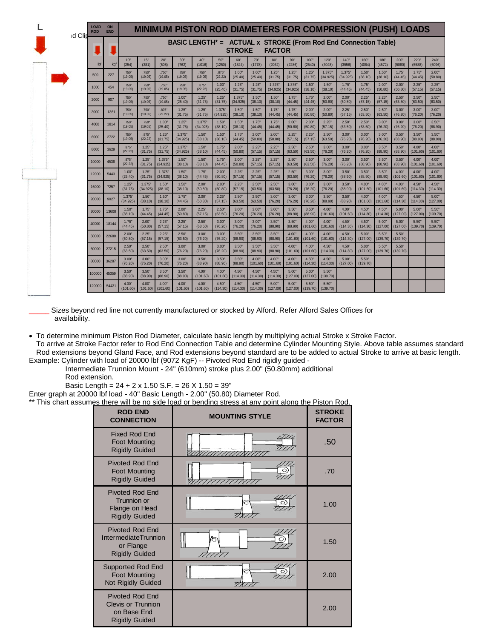| d Clin | <b>LOAD</b><br><b>ROD</b> | ON<br><b>END</b> |                   |                    |                    |                    | <b>MINIMUM PISTON ROD DIAMETERS FOR COMPRESSION (PUSH) LOADS</b> |                    |                   |                   |                   |                    |                   |                    |                   |                   |                   |                   |                   |                   |
|--------|---------------------------|------------------|-------------------|--------------------|--------------------|--------------------|------------------------------------------------------------------|--------------------|-------------------|-------------------|-------------------|--------------------|-------------------|--------------------|-------------------|-------------------|-------------------|-------------------|-------------------|-------------------|
|        |                           |                  |                   |                    |                    |                    | BASIC LENGTH* = ACTUAL x STROKE (From Rod End Connection Table)  |                    | <b>STROKE</b>     |                   | <b>FACTOR</b>     |                    |                   |                    |                   |                   |                   |                   |                   |                   |
|        | lbf                       | kgf              | 10"<br>(254)      | 15"<br>(381)       | 20"<br>(508)       | 30"<br>(762)       | 40"<br>(1016)                                                    | 50"<br>(1250)      | 60"<br>(1524)     | 70"<br>(1778)     | 80"<br>(2032)     | 90"<br>(2286)      | 100"<br>(2540)    | 120"<br>(3048)     | 140"<br>(3556)    | 160"<br>(4064)    | 180"<br>(4572)    | 200"<br>(5080)    | 220"<br>(5588)    | 240"<br>(6096)    |
|        | 500                       | 227              | .750"<br>(19.05)  | .750"<br>(19.05)   | .750"<br>(19.05)   | .750*<br>(19.05)   | .750"<br>(19.05)                                                 | .875"<br>(22.22)   | 1.00"<br>(25.40)  | 1.00"<br>(25.40)  | 1.25"<br>(31.75)  | 1.25"<br>(31.75)   | 1.25"<br>(31.75)  | 1.375"<br>(34.925) | 1.375<br>(34.925) | 1.50"<br>(38.10)  | 1.50"<br>(38.10)  | 1.75"<br>(44.45)  | 1.75"<br>(44.45)  | 2.00"<br>(50.80)  |
|        | 1000                      | 454              | .750"<br>(19.05)  | .750"<br>(19.05)   | .750"<br>(19.05)   | .750*<br>(19.05)   | .875"<br>(22.22)                                                 | 1.00"<br>(25.40)   | 1.25"<br>(31.75)  | 1.25"<br>(31.75)  | 1.375<br>(34.925) | 1.375"<br>(34.925) | 1.50"<br>(38.10)  | 1.50"<br>(38.10)   | 1.75"<br>(44.45)  | 1.75'<br>(44.45)  | 2.00"<br>(50.80)  | 2.00"<br>(50.80)  | 2.25"<br>(57.15)  | 2.25"<br>(57.15)  |
|        | 2000                      | 907              | .750"<br>(19.05)  | .750"<br>(19.05)   | .750"<br>(19.05)   | 1.00"<br>(25.40)   | 1.25"<br>(31.75)                                                 | 1.25"<br>(31.75)   | 1.375<br>(34.925) | 1.50"<br>(38.10)  | 1.50"<br>(38.10)  | 1.75"<br>(44.45)   | 1.75"<br>(44.45)  | 2.00"<br>(50.80)   | 2.00"<br>(50.80)  | 2.25"<br>(57.15)  | 2.25"<br>(57.15)  | 2.50"<br>(63.50)  | 2.50"<br>(63.50)  | 2.50"<br>(63.50)  |
|        | 3000                      | 1361             | .750"<br>(19.05)  | .750"<br>(19.05)   | .875"<br>(22.22)   | 1.25"<br>(31.75)   | 1.25"<br>(31.75)                                                 | 1.375"<br>(34.925) | 1.50"<br>(38.10)  | 1.50"<br>(38.10)  | 1.75"<br>(44.45)  | 1.75"<br>(44.45)   | 2.00"<br>(50.80)  | 2.00"<br>(50.80)   | 2.25"<br>(57.15)  | 2.50"<br>(63.50)  | 2.50"<br>(63.50)  | 3.00"<br>(76.20)  | 3.00"<br>(76.20)  | 3.00"<br>(76.20)  |
|        | 4000                      | 1814             | .750"<br>(19.05)  | .750"<br>(19.05)   | 1.00"<br>(25.40)   | 1.25"<br>(31.75)   | 1.375"<br>(34.925)                                               | 1.50"<br>(38.10)   | 1.50"<br>(38.10)  | 1.75"<br>(44.45)  | 1.75"<br>(44.45)  | 2.00"<br>(50.80)   | 2.00"<br>(50.80)  | 2.25"<br>(57.15)   | 2.50"<br>(63.50)  | 2.50"<br>(63.50)  | 3.00"<br>(76.20)  | 3.00"<br>(76.20)  | 3.00"<br>(76.20)  | 3.50"<br>(88.90)  |
|        | 6000                      | 2722             | .750"<br>(19.05)  | .875*<br>(22.22)   | 1.25"<br>(31.75)   | 1.375"<br>(34.925) | 1.50"<br>(38.10)                                                 | 1.50"<br>(38.10)   | 1.75"<br>(44.45)  | 2.00"<br>(50.80)  | 2.00"<br>(50.80)  | 2.25"<br>(57.15)   | 2.25"<br>(57.15)  | 2.50"<br>(63.50)   | 3.00"<br>(76.20)  | 3.00"<br>(76.20)  | 3.00"<br>(76.20)  | 3.50"<br>(88.90)  | 3.50"<br>(88.90)  | 3.50"<br>(88.90)  |
|        | 8000                      | 3629             | .875"<br>(22.22)  | 1.25"<br>(31.75)   | 1.25"<br>(31.75)   | 1.375"<br>(34.925) | 1.50"<br>(38.10)                                                 | 1.75"<br>(44.45)   | 2.00"<br>(50.80)  | 2.25"<br>(57.15)  | 2.25"<br>(57.15)  | 2.50"<br>(63.50)   | 2.50"<br>(63.50)  | 3.00"<br>(76.20)   | 3.00"<br>(76.20)  | 3.00"<br>(76.20)  | 3.50"<br>(88.90)  | 3.50"<br>(88.90)  | 4.00"<br>(101.60) | 4.00"<br>(101.60) |
|        | 10000                     | 4536             | .875"<br>(22.22)  | 1.25"<br>(31.75)   | 1.375"<br>(34.925) | 1.50"<br>(38.10)   | 1.50"<br>(38.10)                                                 | 1.75<br>(44.45)    | 2.00"<br>(50.80)  | 2.25'<br>(57.15)  | 2.25"<br>(57.15)  | 2.50"<br>(63.50)   | 2.50"<br>(63.50)  | 3.00"<br>(76.20)   | 3.00"<br>(76.20)  | 3.50"<br>(88.90)  | 3.50"<br>(88.90)  | 3.50"<br>(88.90)  | 4.00"<br>(101.60) | 4.00"<br>(101.60) |
|        | 12000                     | 5443             | 1.00"<br>(25.40)  | 1.25"<br>(31.75)   | 1.375"<br>(34.925) | 1.50"<br>(38.10)   | 1.75"<br>(44.45)                                                 | 2.00"<br>(50.80)   | 2.25"<br>(57.15)  | 2.25"<br>(57.15)  | 2.25"<br>(57.15)  | 2.50"<br>(63.50)   | 3.00"<br>(76.20)  | 3.00"<br>(76.20)   | 3.50"<br>(88.90)  | 3.50"<br>(88.90)  | 3.50"<br>(88.90)  | 4.00"<br>(101.60) | 4.00"<br>(101.60) | 4.00"<br>(101.60) |
|        | 16000                     | 7257             | 1.25"<br>(31.75)  | 1.375'<br>(34.925) | 1.50"<br>(38.10)   | 1.50"<br>(38.10)   | 2.00"<br>(50.80)                                                 | 2.00"<br>(50.80)   | 2.25"<br>(57.15)  | 2.50"<br>(63.50)  | 2.50"<br>(63.50)  | 3.00"<br>(76.20)   | 3.00"<br>(76.20)  | 3.00"<br>(76.20)   | 3.50"<br>(88.90)  | 4.00"<br>(101.60) | 4.00"<br>(101.60) | 4.00"<br>(101.60) | 4.50"<br>(114.30) | 4.50"<br>(114.30) |
|        | 20000                     | 9027             | 1.375<br>(34.925) | 1.50"<br>(38.10)   | 1.50"<br>(38.10)   | 1.75"<br>(44.45)   | 2.00"<br>(50.80)                                                 | 2.25"<br>(57.15)   | 2.50"<br>(63.50)  | 2.50"<br>(63.50)  | 3.00"<br>(76.20)  | 3.00"<br>(76.20)   | 3.00"<br>(76.20)  | 3.50"<br>(88.90)   | 3.50"<br>(88.90)  | 4.00"<br>(101.60) | 4.00"<br>(101.60) | 4.50"<br>(114.30) | 4.50"<br>(114.30) | 5.00"<br>(127.00) |
|        | 30000                     | 13608            | 1.50"<br>(38.10)  | 1.75"<br>(44.45)   | 1.75"<br>(44.45)   | 2.00"<br>(50.80)   | 2.25"<br>(57.15)                                                 | 2.50"<br>(63.50)   | 3.00"<br>(76.20)  | 3.00"<br>(76.20)  | 3.00"<br>(76.20)  | 3.50"<br>(88.90)   | 3.50"<br>(88.90)  | 4.00"<br>(101.60)  | 4.00"<br>(101.60) | 4.50"<br>(114.30) | 4.50"<br>(114.30) | 5.00"<br>(127.00) | 5.00"<br>(127.00) | 5.50"<br>(139.70) |
|        | 40000                     | 18144            | 1.75"<br>(44.45)  | 2.00"<br>(50.80)   | 2.25"<br>(57.15)   | 2.25"<br>(57.15)   | 2.50"<br>(63.50)                                                 | 3.00"<br>(76.20)   | 3.00"<br>(76.20)  | 3.00"<br>(76.20)  | 3.50"<br>(88.90)  | 3.50"<br>(88.90)   | 4.00"<br>(101.60) | 4.00"<br>(101.60)  | 4.50"<br>(114.30) | 4.50"<br>(114.30) | 5.00"<br>(127.00) | 5.00"<br>(127.00) | 5.50"<br>(139.70) | 5.50"<br>(139.70) |
|        | 50000                     | 22680            | 2.00"<br>(50.80)  | 2.25"<br>(57.15)   | 2.25"<br>(57.15)   | 2.50"<br>(63.50)   | 3.00"<br>(76.20)                                                 | 3.00"<br>(76.20)   | 3.50"<br>(88.90)  | 3.50"<br>(88.90)  | 3.50"<br>(88.90)  | 4.00"<br>(101.60)  | 4.00"<br>(101.60) | 4.00"<br>(101.60)  | 4.50"<br>(114.30) | 5.00"<br>(127.00) | 5.50"<br>(139.70) | 5.50"<br>(139.70) |                   |                   |
|        | 60000                     | 27215            | 2.50"<br>(63.50)  | 2.50"<br>(63.50)   | 2.50"<br>(63.50)   | 3.00"<br>(76.20)   | 3.00"<br>(76.20)                                                 | 3.00"<br>(76.20)   | 3.50"<br>(88.90)  | 3.50"<br>(88.90)  | 3.50"<br>(88.90)  | 4.00"<br>(101.60)  | 4.00"<br>(101.60) | 4.50"<br>(114.30)  | 4.50"<br>(114.30) | 5.00"<br>(127.00) | 5.50"<br>(139.70) | 5.50"<br>(139.70) |                   |                   |
|        | 80000                     | 36287            | 3.00"<br>(76.20)  | 3.00"<br>(76.20)   | 3.00"<br>(76.20)   | 3.00"<br>(76.20)   | 3.50"<br>(88.90)                                                 | 3.50"<br>(88.90)   | 3.50"<br>(88.90)  | 4.00"<br>(101.60) | 4.00"<br>(101.60) | 4.00"<br>(101.60)  | 4.50"<br>(114.30) | 4.50"<br>(114.30)  | 5.00"<br>(127.00) | 5.50"<br>(139.70) |                   |                   |                   |                   |
|        | 100000                    | 45359            | 3.50"<br>(88.90)  | 3.50"<br>(88.90)   | 3.50"<br>(88.90)   | 3.50"<br>(88.90)   | 4.00"<br>(101.60)                                                | 4.00"<br>(101.60)  | 4.50"<br>(114.30) | 4.50"<br>(114.30) | 4.50"<br>(114.30) | 5.00"<br>(127.00)  | 5.00"<br>(127.00) | 5.50"<br>(139.70)  |                   |                   |                   |                   |                   |                   |
|        | 120000                    | 54431            | 4.00"<br>(101.60) | 4.00"<br>(101.60)  | 4.00"<br>(101.60)  | 4.00"<br>(101.60)  | 4.00"<br>(101.60)                                                | 4.50"<br>(114.30)  | 4.50"<br>(114.30) | 4.50"<br>(114.30) | 5.00"<br>(127.00) | 5.00"<br>(127.00)  | 5.50"<br>(139.70) | 5.50"<br>(139.70)  |                   |                   |                   |                   |                   |                   |

Sizes beyond red line not currently manufactured or stocked by Alford. Refer Alford Sales Offices for availability.

• To determine minimum Piston Rod Diameter, calculate basic length by multiplying actual Stroke x Stroke Factor.

To arrive at Stroke Factor refer to Rod End Connection Table and determine Cylinder Mounting Style. Above table assumes standard Rod extensions beyond Gland Face, and Rod extensions beyond standard are to be added to actual Stroke to arrive at basic length. Example: Cylinder with load of 20000 lbf (9072 KgF) -- Pivoted Rod End rigidly guided -

Intermediate Trunnion Mount - 24" (610mm) stroke plus 2.00" (50.80mm) additional

Rod extension.

Basic Length = 24 + 2 x 1.50 S.F. = 26 X 1.50 = 39"

Enter graph at 20000 lbf load - 40" Basic Length - 2.00" (50.80) Diameter Rod.

\*\* This chart assumes there will be no side load or bending stress at any point along the Piston Rod.

| <b>ROD END</b><br><b>CONNECTION</b>                                                         | <b>MOUNTING STYLE</b> | <b>STROKE</b><br><b>FACTOR</b> |
|---------------------------------------------------------------------------------------------|-----------------------|--------------------------------|
| <b>Fixed Rod Fnd</b><br><b>Foot Mounting</b><br><b>Rigidly Guided</b>                       |                       | .50                            |
| <b>Pivoted Rod End</b><br><b>Foot Mounting</b><br><b>Rigidly Guided</b>                     |                       | .70                            |
| <b>Pivoted Rod End</b><br><b>Trunnion or</b><br>Flange on Head<br><b>Rigidly Guided</b>     | 6                     | 1.00                           |
| <b>Pivoted Rod End</b><br><b>IntermediateTrunnion</b><br>or Flange<br><b>Rigidly Guided</b> | ొ                     | 1.50                           |
| <b>Supported Rod End</b><br><b>Foot Mounting</b><br><b>Not Rigidly Guided</b>               | ô                     | 2.00                           |
| <b>Pivoted Rod End</b><br>Clevis or Trunnion<br>on Base End<br><b>Rigidly Guided</b>        |                       | 2.00                           |